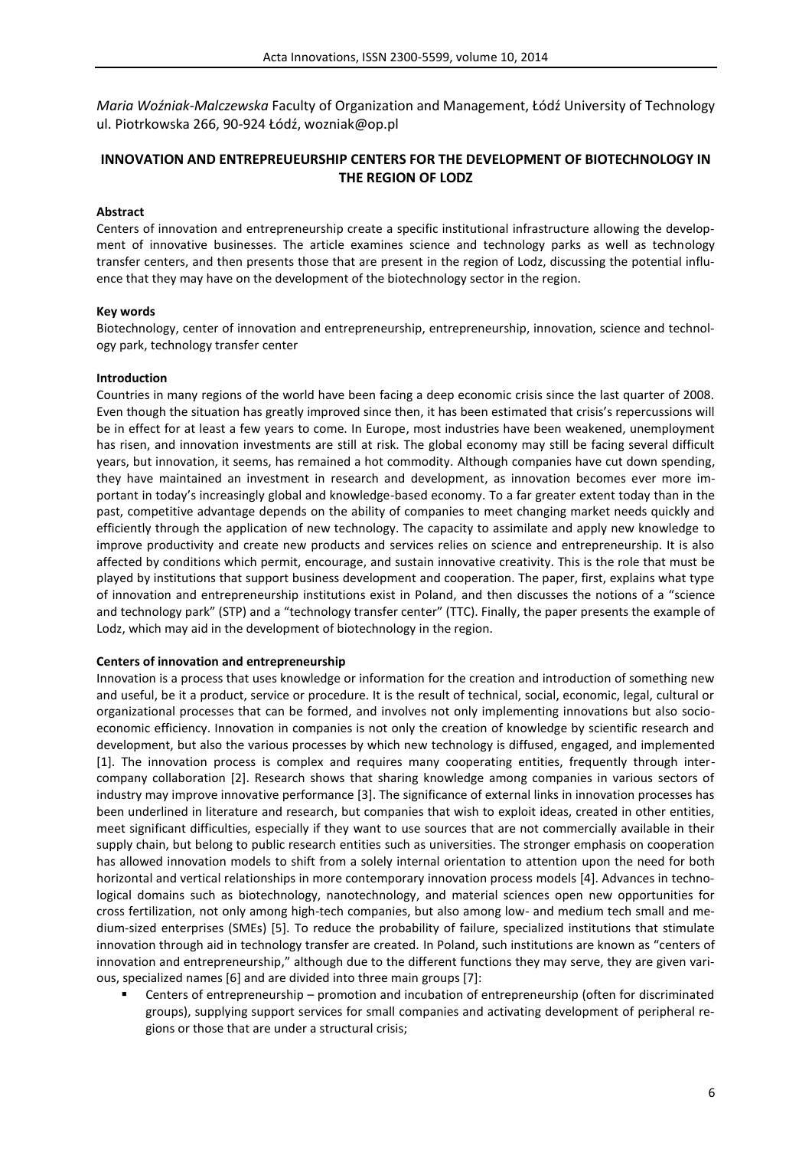*Maria Woźniak-Malczewska* Faculty of Organization and Management, Łódź University of Technology ul. Piotrkowska 266, 90-924 Łódź, wozniak@op.pl

# **INNOVATION AND ENTREPREUEURSHIP CENTERS FOR THE DEVELOPMENT OF BIOTECHNOLOGY IN THE REGION OF LODZ**

# **Abstract**

Centers of innovation and entrepreneurship create a specific institutional infrastructure allowing the development of innovative businesses. The article examines science and technology parks as well as technology transfer centers, and then presents those that are present in the region of Lodz, discussing the potential influence that they may have on the development of the biotechnology sector in the region.

# **Key words**

Biotechnology, center of innovation and entrepreneurship, entrepreneurship, innovation, science and technology park, technology transfer center

#### **Introduction**

Countries in many regions of the world have been facing a deep economic crisis since the last quarter of 2008. Even though the situation has greatly improved since then, it has been estimated that crisis's repercussions will be in effect for at least a few years to come. In Europe, most industries have been weakened, unemployment has risen, and innovation investments are still at risk. The global economy may still be facing several difficult years, but innovation, it seems, has remained a hot commodity. Although companies have cut down spending, they have maintained an investment in research and development, as innovation becomes ever more important in today's increasingly global and knowledge-based economy. To a far greater extent today than in the past, competitive advantage depends on the ability of companies to meet changing market needs quickly and efficiently through the application of new technology. The capacity to assimilate and apply new knowledge to improve productivity and create new products and services relies on science and entrepreneurship. It is also affected by conditions which permit, encourage, and sustain innovative creativity. This is the role that must be played by institutions that support business development and cooperation. The paper, first, explains what type of innovation and entrepreneurship institutions exist in Poland, and then discusses the notions of a "science and technology park" (STP) and a "technology transfer center" (TTC). Finally, the paper presents the example of Lodz, which may aid in the development of biotechnology in the region.

#### **Centers of innovation and entrepreneurship**

Innovation is a process that uses knowledge or information for the creation and introduction of something new and useful, be it a product, service or procedure. It is the result of technical, social, economic, legal, cultural or organizational processes that can be formed, and involves not only implementing innovations but also socioeconomic efficiency. Innovation in companies is not only the creation of knowledge by scientific research and development, but also the various processes by which new technology is diffused, engaged, and implemented [1]. The innovation process is complex and requires many cooperating entities, frequently through intercompany collaboration [2]. Research shows that sharing knowledge among companies in various sectors of industry may improve innovative performance [3]. The significance of external links in innovation processes has been underlined in literature and research, but companies that wish to exploit ideas, created in other entities, meet significant difficulties, especially if they want to use sources that are not commercially available in their supply chain, but belong to public research entities such as universities. The stronger emphasis on cooperation has allowed innovation models to shift from a solely internal orientation to attention upon the need for both horizontal and vertical relationships in more contemporary innovation process models [4]. Advances in technological domains such as biotechnology, nanotechnology, and material sciences open new opportunities for cross fertilization, not only among high-tech companies, but also among low- and medium tech small and medium-sized enterprises (SMEs) [5]. To reduce the probability of failure, specialized institutions that stimulate innovation through aid in technology transfer are created. In Poland, such institutions are known as "centers of innovation and entrepreneurship," although due to the different functions they may serve, they are given various, specialized names [6] and are divided into three main groups [7]:

 Centers of entrepreneurship – promotion and incubation of entrepreneurship (often for discriminated groups), supplying support services for small companies and activating development of peripheral regions or those that are under a structural crisis;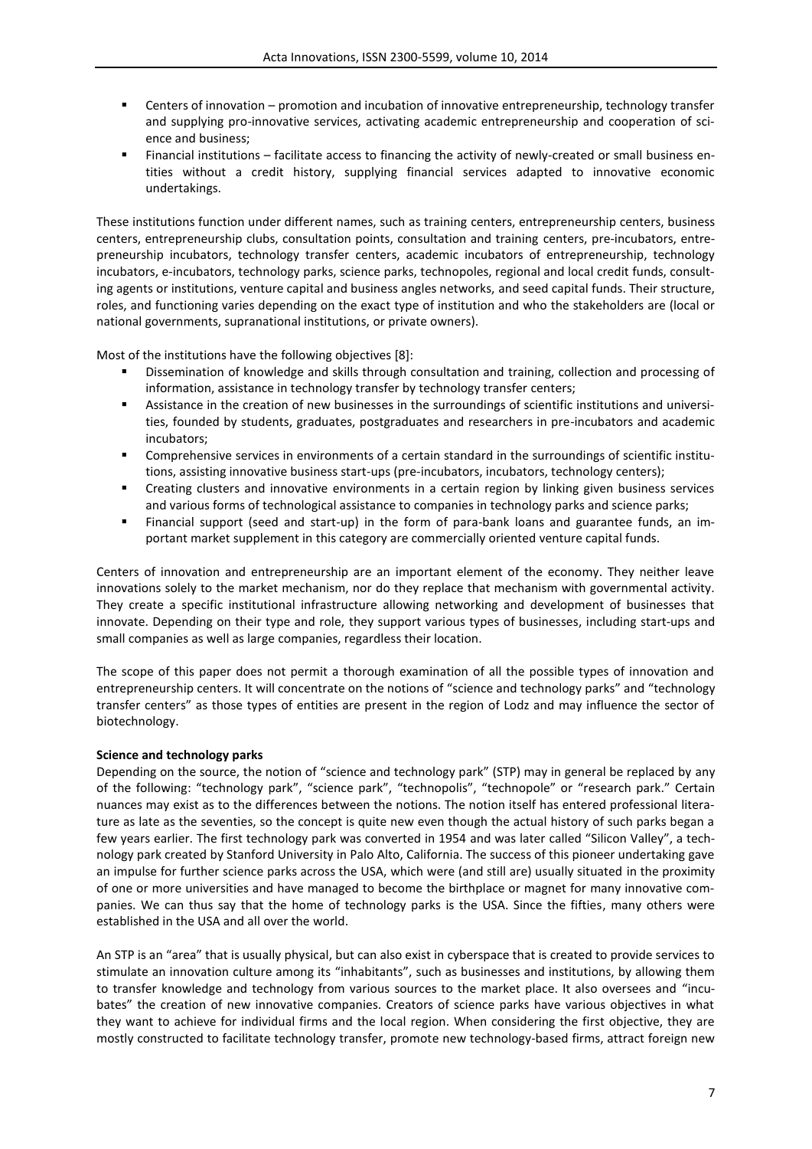- Centers of innovation promotion and incubation of innovative entrepreneurship, technology transfer and supplying pro-innovative services, activating academic entrepreneurship and cooperation of science and business;
- Financial institutions facilitate access to financing the activity of newly-created or small business entities without a credit history, supplying financial services adapted to innovative economic undertakings.

These institutions function under different names, such as training centers, entrepreneurship centers, business centers, entrepreneurship clubs, consultation points, consultation and training centers, pre-incubators, entrepreneurship incubators, technology transfer centers, academic incubators of entrepreneurship, technology incubators, e-incubators, technology parks, science parks, technopoles, regional and local credit funds, consulting agents or institutions, venture capital and business angles networks, and seed capital funds. Their structure, roles, and functioning varies depending on the exact type of institution and who the stakeholders are (local or national governments, supranational institutions, or private owners).

Most of the institutions have the following objectives [8]:

- Dissemination of knowledge and skills through consultation and training, collection and processing of information, assistance in technology transfer by technology transfer centers;
- Assistance in the creation of new businesses in the surroundings of scientific institutions and universities, founded by students, graduates, postgraduates and researchers in pre-incubators and academic incubators;
- Comprehensive services in environments of a certain standard in the surroundings of scientific institutions, assisting innovative business start-ups (pre-incubators, incubators, technology centers);
- Creating clusters and innovative environments in a certain region by linking given business services and various forms of technological assistance to companies in technology parks and science parks;
- Financial support (seed and start-up) in the form of para-bank loans and guarantee funds, an important market supplement in this category are commercially oriented venture capital funds.

Centers of innovation and entrepreneurship are an important element of the economy. They neither leave innovations solely to the market mechanism, nor do they replace that mechanism with governmental activity. They create a specific institutional infrastructure allowing networking and development of businesses that innovate. Depending on their type and role, they support various types of businesses, including start-ups and small companies as well as large companies, regardless their location.

The scope of this paper does not permit a thorough examination of all the possible types of innovation and entrepreneurship centers. It will concentrate on the notions of "science and technology parks" and "technology transfer centers" as those types of entities are present in the region of Lodz and may influence the sector of biotechnology.

#### **Science and technology parks**

Depending on the source, the notion of "science and technology park" (STP) may in general be replaced by any of the following: "technology park", "science park", "technopolis", "technopole" or "research park." Certain nuances may exist as to the differences between the notions. The notion itself has entered professional literature as late as the seventies, so the concept is quite new even though the actual history of such parks began a few years earlier. The first technology park was converted in 1954 and was later called "Silicon Valley", a technology park created by Stanford University in Palo Alto, California. The success of this pioneer undertaking gave an impulse for further science parks across the USA, which were (and still are) usually situated in the proximity of one or more universities and have managed to become the birthplace or magnet for many innovative companies. We can thus say that the home of technology parks is the USA. Since the fifties, many others were established in the USA and all over the world.

An STP is an "area" that is usually physical, but can also exist in cyberspace that is created to provide services to stimulate an innovation culture among its "inhabitants", such as businesses and institutions, by allowing them to transfer knowledge and technology from various sources to the market place. It also oversees and "incubates" the creation of new innovative companies. Creators of science parks have various objectives in what they want to achieve for individual firms and the local region. When considering the first objective, they are mostly constructed to facilitate technology transfer, promote new technology-based firms, attract foreign new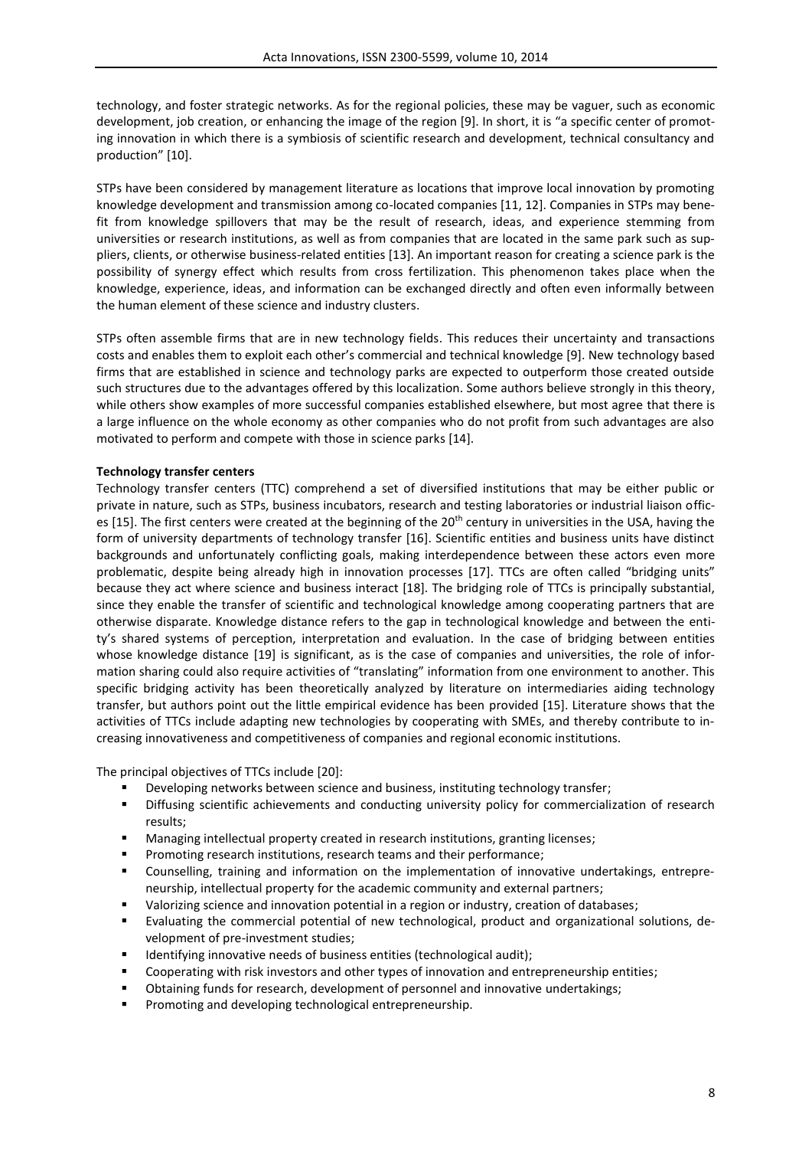technology, and foster strategic networks. As for the regional policies, these may be vaguer, such as economic development, job creation, or enhancing the image of the region [9]. In short, it is "a specific center of promoting innovation in which there is a symbiosis of scientific research and development, technical consultancy and production" [10].

STPs have been considered by management literature as locations that improve local innovation by promoting knowledge development and transmission among co-located companies [11, 12]. Companies in STPs may benefit from knowledge spillovers that may be the result of research, ideas, and experience stemming from universities or research institutions, as well as from companies that are located in the same park such as suppliers, clients, or otherwise business-related entities [13]. An important reason for creating a science park is the possibility of synergy effect which results from cross fertilization. This phenomenon takes place when the knowledge, experience, ideas, and information can be exchanged directly and often even informally between the human element of these science and industry clusters.

STPs often assemble firms that are in new technology fields. This reduces their uncertainty and transactions costs and enables them to exploit each other's commercial and technical knowledge [9]. New technology based firms that are established in science and technology parks are expected to outperform those created outside such structures due to the advantages offered by this localization. Some authors believe strongly in this theory, while others show examples of more successful companies established elsewhere, but most agree that there is a large influence on the whole economy as other companies who do not profit from such advantages are also motivated to perform and compete with those in science parks [14].

# **Technology transfer centers**

Technology transfer centers (TTC) comprehend a set of diversified institutions that may be either public or private in nature, such as STPs, business incubators, research and testing laboratories or industrial liaison offices [15]. The first centers were created at the beginning of the  $20<sup>th</sup>$  century in universities in the USA, having the form of university departments of technology transfer [16]. Scientific entities and business units have distinct backgrounds and unfortunately conflicting goals, making interdependence between these actors even more problematic, despite being already high in innovation processes [17]. TTCs are often called "bridging units" because they act where science and business interact [18]. The bridging role of TTCs is principally substantial, since they enable the transfer of scientific and technological knowledge among cooperating partners that are otherwise disparate. Knowledge distance refers to the gap in technological knowledge and between the entity's shared systems of perception, interpretation and evaluation. In the case of bridging between entities whose knowledge distance [19] is significant, as is the case of companies and universities, the role of information sharing could also require activities of "translating" information from one environment to another. This specific bridging activity has been theoretically analyzed by literature on intermediaries aiding technology transfer, but authors point out the little empirical evidence has been provided [15]. Literature shows that the activities of TTCs include adapting new technologies by cooperating with SMEs, and thereby contribute to increasing innovativeness and competitiveness of companies and regional economic institutions.

The principal objectives of TTCs include [20]:

- Developing networks between science and business, instituting technology transfer;
- Diffusing scientific achievements and conducting university policy for commercialization of research results;
- Managing intellectual property created in research institutions, granting licenses;
- Promoting research institutions, research teams and their performance;
- Counselling, training and information on the implementation of innovative undertakings, entrepreneurship, intellectual property for the academic community and external partners;
- Valorizing science and innovation potential in a region or industry, creation of databases;
- Evaluating the commercial potential of new technological, product and organizational solutions, development of pre-investment studies;
- Identifying innovative needs of business entities (technological audit);
- Cooperating with risk investors and other types of innovation and entrepreneurship entities;
- Obtaining funds for research, development of personnel and innovative undertakings;
- **Promoting and developing technological entrepreneurship.**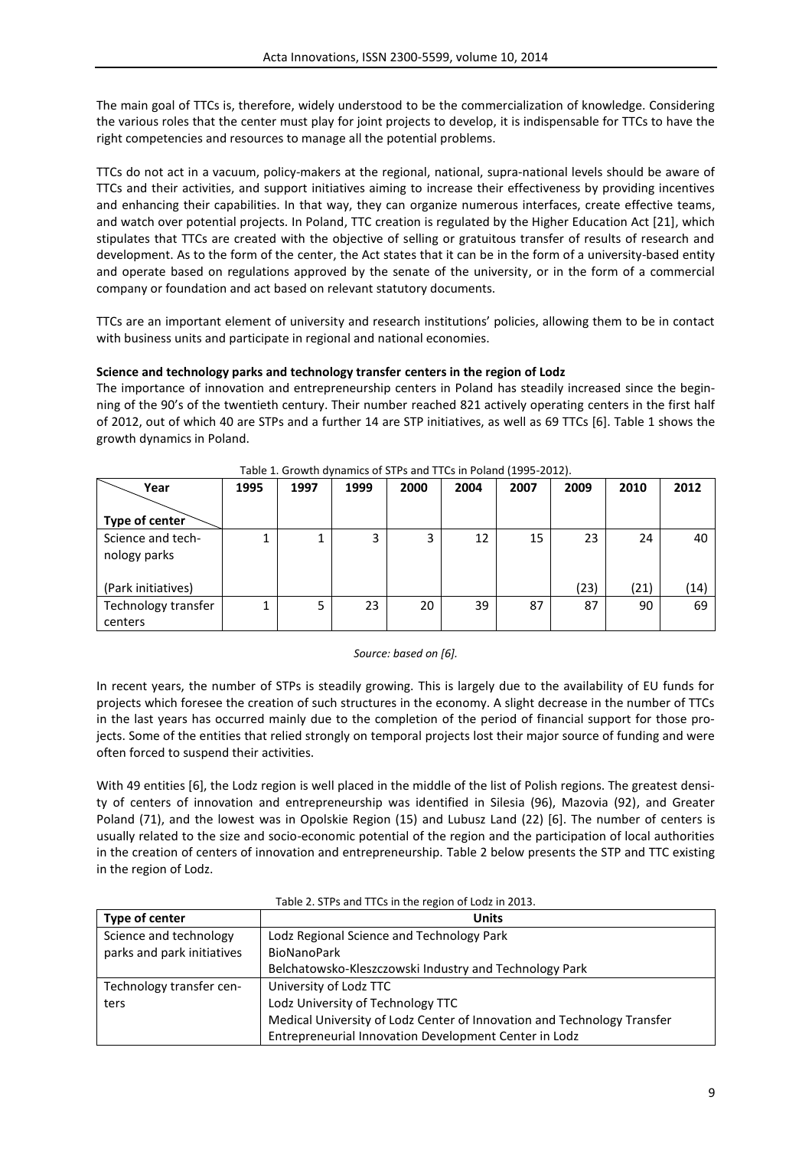The main goal of TTCs is, therefore, widely understood to be the commercialization of knowledge. Considering the various roles that the center must play for joint projects to develop, it is indispensable for TTCs to have the right competencies and resources to manage all the potential problems.

TTCs do not act in a vacuum, policy-makers at the regional, national, supra-national levels should be aware of TTCs and their activities, and support initiatives aiming to increase their effectiveness by providing incentives and enhancing their capabilities. In that way, they can organize numerous interfaces, create effective teams, and watch over potential projects. In Poland, TTC creation is regulated by the Higher Education Act [21], which stipulates that TTCs are created with the objective of selling or gratuitous transfer of results of research and development. As to the form of the center, the Act states that it can be in the form of a university-based entity and operate based on regulations approved by the senate of the university, or in the form of a commercial company or foundation and act based on relevant statutory documents.

TTCs are an important element of university and research institutions' policies, allowing them to be in contact with business units and participate in regional and national economies.

# **Science and technology parks and technology transfer centers in the region of Lodz**

The importance of innovation and entrepreneurship centers in Poland has steadily increased since the beginning of the 90's of the twentieth century. Their number reached 821 actively operating centers in the first half of 2012, out of which 40 are STPs and a further 14 are STP initiatives, as well as 69 TTCs [6]. Table 1 shows the growth dynamics in Poland.

| Year                              | 1995 | 1997 | 1999 | 2000 | 2004 | 2007 | 2009 | 2010 | 2012 |
|-----------------------------------|------|------|------|------|------|------|------|------|------|
|                                   |      |      |      |      |      |      |      |      |      |
| Type of center                    |      |      |      |      |      |      |      |      |      |
| Science and tech-<br>nology parks |      |      |      | 3    | 12   | 15   | 23   | 24   | 40   |
| (Park initiatives)                |      |      |      |      |      |      | (23) | (21) | (14) |
| Technology transfer<br>centers    | 1    |      | 23   | 20   | 39   | 87   | 87   | 90   | 69   |

#### Table 1. Growth dynamics of STPs and TTCs in Poland (1995-2012).

#### *Source: based on [6].*

In recent years, the number of STPs is steadily growing. This is largely due to the availability of EU funds for projects which foresee the creation of such structures in the economy. A slight decrease in the number of TTCs in the last years has occurred mainly due to the completion of the period of financial support for those projects. Some of the entities that relied strongly on temporal projects lost their major source of funding and were often forced to suspend their activities.

With 49 entities [6], the Lodz region is well placed in the middle of the list of Polish regions. The greatest density of centers of innovation and entrepreneurship was identified in Silesia (96), Mazovia (92), and Greater Poland (71), and the lowest was in Opolskie Region (15) and Lubusz Land (22) [6]. The number of centers is usually related to the size and socio-economic potential of the region and the participation of local authorities in the creation of centers of innovation and entrepreneurship. Table 2 below presents the STP and TTC existing in the region of Lodz.

| Type of center             | <b>Units</b>                                                            |
|----------------------------|-------------------------------------------------------------------------|
| Science and technology     | Lodz Regional Science and Technology Park                               |
| parks and park initiatives | <b>BioNanoPark</b>                                                      |
|                            | Belchatowsko-Kleszczowski Industry and Technology Park                  |
| Technology transfer cen-   | University of Lodz TTC                                                  |
| ters                       | Lodz University of Technology TTC                                       |
|                            | Medical University of Lodz Center of Innovation and Technology Transfer |
|                            | Entrepreneurial Innovation Development Center in Lodz                   |

#### Table 2. STPs and TTCs in the region of Lodz in 2013.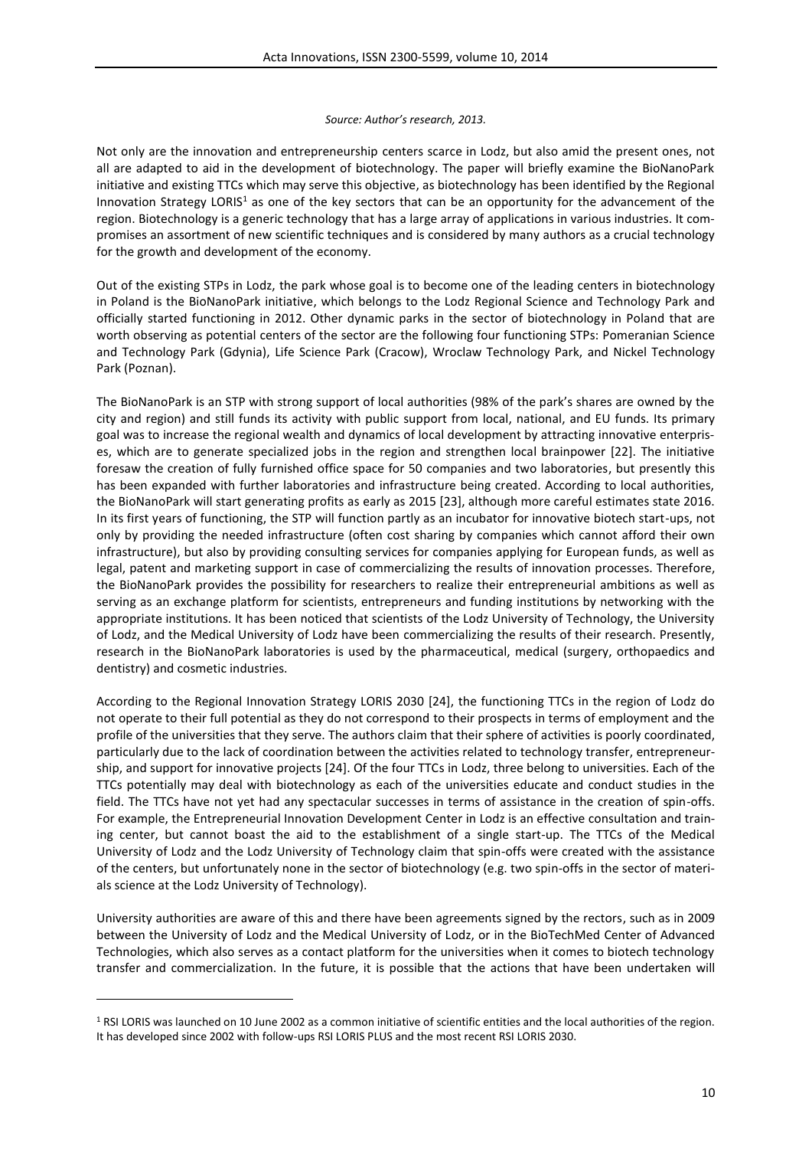#### *Source: Author's research, 2013.*

Not only are the innovation and entrepreneurship centers scarce in Lodz, but also amid the present ones, not all are adapted to aid in the development of biotechnology. The paper will briefly examine the BioNanoPark initiative and existing TTCs which may serve this objective, as biotechnology has been identified by the Regional Innovation Strategy LORIS<sup>1</sup> as one of the key sectors that can be an opportunity for the advancement of the region. Biotechnology is a generic technology that has a large array of applications in various industries. It compromises an assortment of new scientific techniques and is considered by many authors as a crucial technology for the growth and development of the economy.

Out of the existing STPs in Lodz, the park whose goal is to become one of the leading centers in biotechnology in Poland is the BioNanoPark initiative, which belongs to the Lodz Regional Science and Technology Park and officially started functioning in 2012. Other dynamic parks in the sector of biotechnology in Poland that are worth observing as potential centers of the sector are the following four functioning STPs: Pomeranian Science and Technology Park (Gdynia), Life Science Park (Cracow), Wroclaw Technology Park, and Nickel Technology Park (Poznan).

The BioNanoPark is an STP with strong support of local authorities (98% of the park's shares are owned by the city and region) and still funds its activity with public support from local, national, and EU funds. Its primary goal was to increase the regional wealth and dynamics of local development by attracting innovative enterprises, which are to generate specialized jobs in the region and strengthen local brainpower [22]. The initiative foresaw the creation of fully furnished office space for 50 companies and two laboratories, but presently this has been expanded with further laboratories and infrastructure being created. According to local authorities, the BioNanoPark will start generating profits as early as 2015 [23], although more careful estimates state 2016. In its first years of functioning, the STP will function partly as an incubator for innovative biotech start-ups, not only by providing the needed infrastructure (often cost sharing by companies which cannot afford their own infrastructure), but also by providing consulting services for companies applying for European funds, as well as legal, patent and marketing support in case of commercializing the results of innovation processes. Therefore, the BioNanoPark provides the possibility for researchers to realize their entrepreneurial ambitions as well as serving as an exchange platform for scientists, entrepreneurs and funding institutions by networking with the appropriate institutions. It has been noticed that scientists of the Lodz University of Technology, the University of Lodz, and the Medical University of Lodz have been commercializing the results of their research. Presently, research in the BioNanoPark laboratories is used by the pharmaceutical, medical (surgery, orthopaedics and dentistry) and cosmetic industries.

According to the Regional Innovation Strategy LORIS 2030 [24], the functioning TTCs in the region of Lodz do not operate to their full potential as they do not correspond to their prospects in terms of employment and the profile of the universities that they serve. The authors claim that their sphere of activities is poorly coordinated, particularly due to the lack of coordination between the activities related to technology transfer, entrepreneurship, and support for innovative projects [24]. Of the four TTCs in Lodz, three belong to universities. Each of the TTCs potentially may deal with biotechnology as each of the universities educate and conduct studies in the field. The TTCs have not yet had any spectacular successes in terms of assistance in the creation of spin-offs. For example, the Entrepreneurial Innovation Development Center in Lodz is an effective consultation and training center, but cannot boast the aid to the establishment of a single start-up. The TTCs of the Medical University of Lodz and the Lodz University of Technology claim that spin-offs were created with the assistance of the centers, but unfortunately none in the sector of biotechnology (e.g. two spin-offs in the sector of materials science at the Lodz University of Technology).

University authorities are aware of this and there have been agreements signed by the rectors, such as in 2009 between the University of Lodz and the Medical University of Lodz, or in the BioTechMed Center of Advanced Technologies, which also serves as a contact platform for the universities when it comes to biotech technology transfer and commercialization. In the future, it is possible that the actions that have been undertaken will

**.** 

<sup>1</sup> RSI LORIS was launched on 10 June 2002 as a common initiative of scientific entities and the local authorities of the region. It has developed since 2002 with follow-ups RSI LORIS PLUS and the most recent RSI LORIS 2030.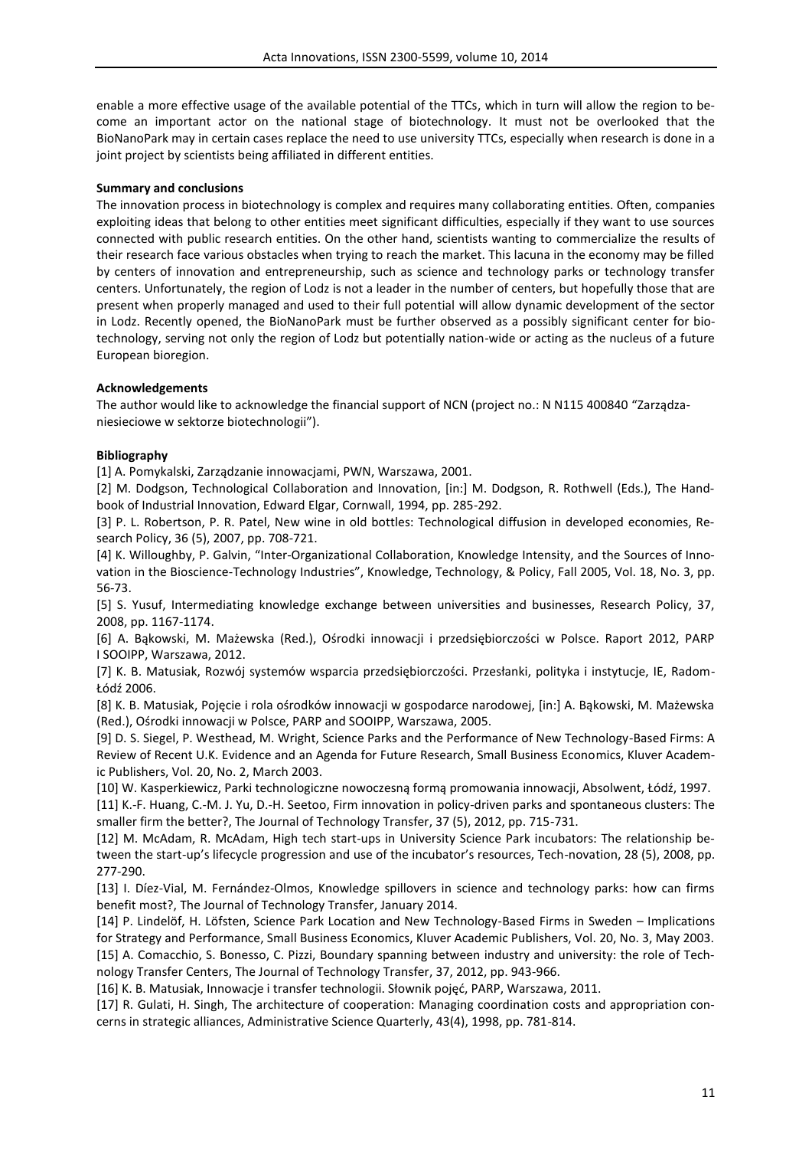enable a more effective usage of the available potential of the TTCs, which in turn will allow the region to become an important actor on the national stage of biotechnology. It must not be overlooked that the BioNanoPark may in certain cases replace the need to use university TTCs, especially when research is done in a joint project by scientists being affiliated in different entities.

# **Summary and conclusions**

The innovation process in biotechnology is complex and requires many collaborating entities. Often, companies exploiting ideas that belong to other entities meet significant difficulties, especially if they want to use sources connected with public research entities. On the other hand, scientists wanting to commercialize the results of their research face various obstacles when trying to reach the market. This lacuna in the economy may be filled by centers of innovation and entrepreneurship, such as science and technology parks or technology transfer centers. Unfortunately, the region of Lodz is not a leader in the number of centers, but hopefully those that are present when properly managed and used to their full potential will allow dynamic development of the sector in Lodz. Recently opened, the BioNanoPark must be further observed as a possibly significant center for biotechnology, serving not only the region of Lodz but potentially nation-wide or acting as the nucleus of a future European bioregion.

# **Acknowledgements**

The author would like to acknowledge the financial support of NCN (project no.: N N115 400840 "Zarządzaniesieciowe w sektorze biotechnologii").

# **Bibliography**

[1] A. Pomykalski, Zarządzanie innowacjami, PWN, Warszawa, 2001.

[2] M. Dodgson, Technological Collaboration and Innovation, [in:] M. Dodgson, R. Rothwell (Eds.), The Handbook of Industrial Innovation, Edward Elgar, Cornwall, 1994, pp. 285-292.

[3] P. L. Robertson, P. R. Patel, New wine in old bottles: Technological diffusion in developed economies, Research Policy, 36 (5), 2007, pp. 708-721.

[4] K. Willoughby, P. Galvin, "Inter-Organizational Collaboration, Knowledge Intensity, and the Sources of Innovation in the Bioscience-Technology Industries", Knowledge, Technology, & Policy, Fall 2005, Vol. 18, No. 3, pp. 56-73.

[5] S. Yusuf, Intermediating knowledge exchange between universities and businesses, Research Policy, 37, 2008, pp. 1167-1174.

[6] A. Bąkowski, M. Mażewska (Red.), Ośrodki innowacji i przedsiębiorczości w Polsce. Raport 2012, PARP I SOOIPP, Warszawa, 2012.

[7] K. B. Matusiak, Rozwój systemów wsparcia przedsiębiorczości. Przesłanki, polityka i instytucje, IE, Radom-Łódź 2006.

[8] K. B. Matusiak, Pojęcie i rola ośrodków innowacji w gospodarce narodowej, [in:] A. Bąkowski, M. Mażewska (Red.), Ośrodki innowacji w Polsce, PARP and SOOIPP, Warszawa, 2005.

[9] D. S. Siegel, P. Westhead, M. Wright, Science Parks and the Performance of New Technology-Based Firms: A Review of Recent U.K. Evidence and an Agenda for Future Research, Small Business Economics, Kluver Academic Publishers, Vol. 20, No. 2, March 2003.

[10] W. Kasperkiewicz, Parki technologiczne nowoczesną formą promowania innowacji, Absolwent, Łódź, 1997. [11] K.-F. Huang, C.-M. J. Yu, D.-H. Seetoo, Firm innovation in policy-driven parks and spontaneous clusters: The smaller firm the better?, The Journal of Technology Transfer, 37 (5), 2012, pp. 715-731.

[12] M. McAdam, R. McAdam, High tech start-ups in University Science Park incubators: The relationship between the start-up's lifecycle progression and use of the incubator's resources, Tech-novation, 28 (5), 2008, pp. 277-290.

[13] I. Díez-Vial, M. Fernández-Olmos, Knowledge spillovers in science and technology parks: how can firms benefit most?, The Journal of Technology Transfer, January 2014.

[14] P. Lindelöf, H. Löfsten, Science Park Location and New Technology-Based Firms in Sweden – Implications for Strategy and Performance, Small Business Economics, Kluver Academic Publishers, Vol. 20, No. 3, May 2003. [15] A. Comacchio, S. Bonesso, C. Pizzi, Boundary spanning between industry and university: the role of Technology Transfer Centers, The Journal of Technology Transfer, 37, 2012, pp. 943-966.

[16] K. B. Matusiak, Innowacje i transfer technologii. Słownik pojęć, PARP, Warszawa, 2011.

[17] R. Gulati, H. Singh, The architecture of cooperation: Managing coordination costs and appropriation concerns in strategic alliances, Administrative Science Quarterly, 43(4), 1998, pp. 781-814.